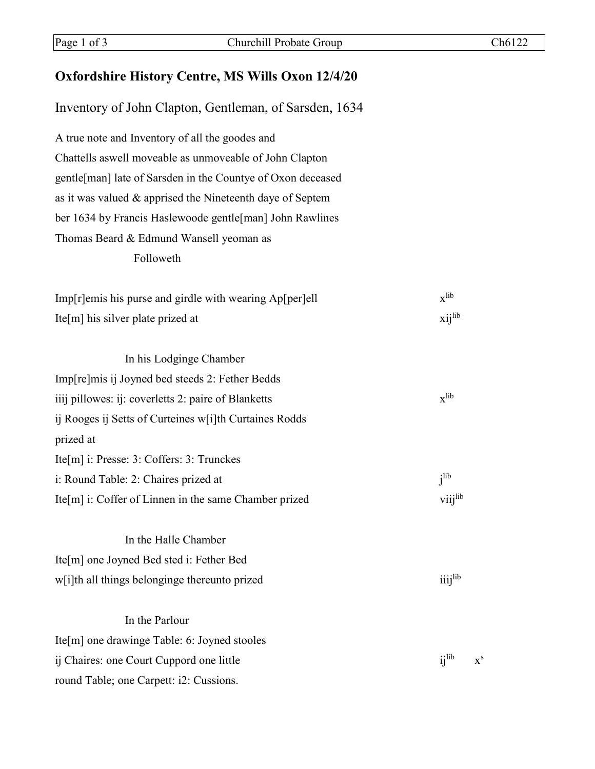## **Oxfordshire History Centre, MS Wills Oxon 12/4/20**

Inventory of John Clapton, Gentleman, of Sarsden, 1634

A true note and Inventory of all the goodes and Chattells aswell moveable as unmoveable of John Clapton gentle[man] late of Sarsden in the Countye of Oxon deceased as it was valued & apprised the Nineteenth daye of Septem ber 1634 by Francis Haslewoode gentle[man] John Rawlines Thomas Beard & Edmund Wansell yeoman as Followeth

| $Imp[r]$ emis his purse and girdle with wearing $Ap[per]$ ell | $\mathbf{x}$ lib |
|---------------------------------------------------------------|------------------|
| Ite[m] his silver plate prized at                             | $xii^{lib}$      |

| In his Lodginge Chamber                                  |                  |
|----------------------------------------------------------|------------------|
| Imp[re]mis ij Joyned bed steeds 2: Fether Bedds          |                  |
| iiij pillowes: ij: coverletts 2: paire of Blanketts      | $\mathbf{x}$ lib |
| ij Rooges ij Setts of Curteines w[i]th Curtaines Rodds   |                  |
| prized at                                                |                  |
| Ite $[m]$ i: Presse: 3: Coffers: 3: Trunckes             |                  |
| i: Round Table: 2: Chaires prized at                     | i <sup>lib</sup> |
| Ite $[m]$ i: Coffer of Linnen in the same Chamber prized | viijlib          |
|                                                          |                  |

In the Halle Chamber Ite[m] one Joyned Bed sted i: Fether Bed w[i]th all things belonginge thereunto prized iiij<sup>lib</sup>

## In the Parlour

Ite[m] one drawinge Table: 6: Joyned stooles ij Chaires: one Court Cuppord one little  $x^s$ round Table; one Carpett: i2: Cussions.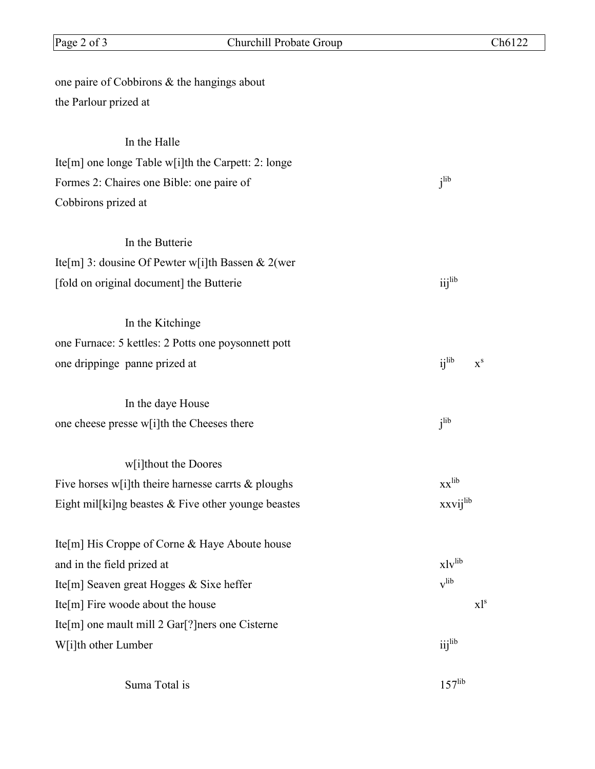| one paire of Cobbirons & the hangings about            |                                                          |
|--------------------------------------------------------|----------------------------------------------------------|
| the Parlour prized at                                  |                                                          |
| In the Halle                                           |                                                          |
| Ite[m] one longe Table w[i]th the Carpett: 2: longe    |                                                          |
| Formes 2: Chaires one Bible: one paire of              | j <sup>lib</sup>                                         |
| Cobbirons prized at                                    |                                                          |
| In the Butterie                                        |                                                          |
| Ite[m] 3: dousine Of Pewter w[i]th Bassen & 2(wer      |                                                          |
| [fold on original document] the Butterie               | iijlib                                                   |
| In the Kitchinge                                       |                                                          |
| one Furnace: 5 kettles: 2 Potts one poysonnett pott    |                                                          |
| one drippinge panne prized at                          | $i^{\text{lib}}$<br>$\boldsymbol{\mathrm{X}}^\mathrm{s}$ |
| In the daye House                                      |                                                          |
| one cheese presse w[i]th the Cheeses there             | i <sup>lib</sup>                                         |
| w[i]thout the Doores                                   |                                                          |
| Five horses w[i]th theire harnesse carrts $\&$ ploughs | $XX$ <sup>lib</sup>                                      |
| Eight mil[ki]ng beastes & Five other younge beastes    | xxvijlib                                                 |
| Ite[m] His Croppe of Corne & Haye Aboute house         |                                                          |
| and in the field prized at                             | $x1v$ lib                                                |
| Ite[m] Seaven great Hogges & Sixe heffer               | v <sup>lib</sup>                                         |
| Ite[m] Fire woode about the house                      | $x1^s$                                                   |
| Ite[m] one mault mill 2 Gar[?] ners one Cisterne       |                                                          |
| W[i]th other Lumber                                    | iij <sup>lib</sup>                                       |
| Suma Total is                                          | $157$ <sup>lib</sup>                                     |